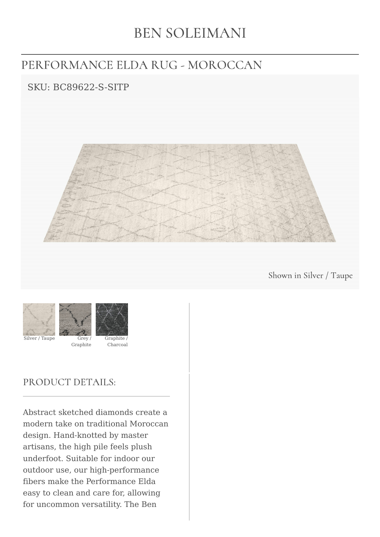# **BEN SOLEIMANI**

# PERFORMANCE ELDA RUG - MOROCCAN

## SKU: BC89622-S-SITP



Shown in Silver / Taupe



Silver / Taupe Grey /



### PRODUCT DETAILS:

Abstract sketched diamonds create a modern take on traditional Moroccan design. Hand-knotted by master artisans, the high pile feels plush underfoot. Suitable for indoor our outdoor use, our high-performance fibers make the Performance Elda easy to clean and care for, allowing for uncommon versatility. The Ben